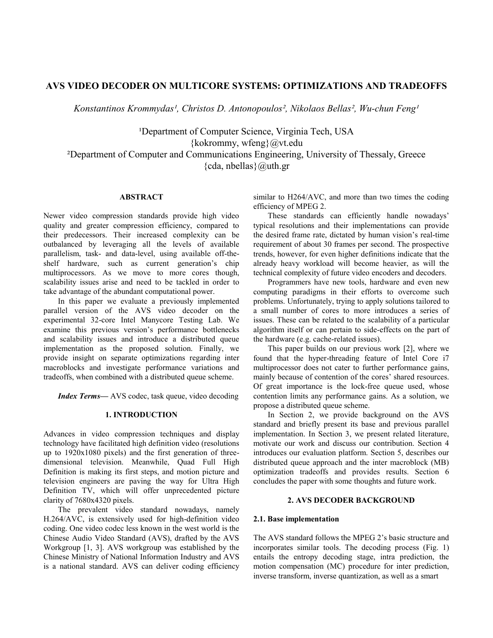# **AVS VIDEO DECODER ON MULTICORE SYSTEMS: OPTIMIZATIONS AND TRADEOFFS**

*Konstantinos Krommydas¹, Christos D. Antonopoulos², Nikolaos Bellas², Wu-chun Feng¹*

<sup>1</sup>Department of Computer Science, Virginia Tech, USA {kokrommy, wfeng}@vt.edu ²Department of Computer and Communications Engineering, University of Thessaly, Greece  $\{cda, \text{nbellas}\}\$ @uth.gr

# **ABSTRACT**

Newer video compression standards provide high video quality and greater compression efficiency, compared to their predecessors. Their increased complexity can be outbalanced by leveraging all the levels of available parallelism, task- and data-level, using available off-theshelf hardware, such as current generation's chip multiprocessors. As we move to more cores though, scalability issues arise and need to be tackled in order to take advantage of the abundant computational power.

In this paper we evaluate a previously implemented parallel version of the AVS video decoder on the experimental 32-core Intel Manycore Testing Lab. We examine this previous version"s performance bottlenecks and scalability issues and introduce a distributed queue implementation as the proposed solution. Finally, we provide insight on separate optimizations regarding inter macroblocks and investigate performance variations and tradeoffs, when combined with a distributed queue scheme.

*Index Terms—* AVS codec, task queue, video decoding

### **1. INTRODUCTION**

Advances in video compression techniques and display technology have facilitated high definition video (resolutions up to 1920x1080 pixels) and the first generation of threedimensional television. Meanwhile, Quad Full High Definition is making its first steps, and motion picture and television engineers are paving the way for Ultra High Definition TV, which will offer unprecedented picture clarity of 7680x4320 pixels.

The prevalent video standard nowadays, namely H.264/AVC, is extensively used for high-definition video coding. One video codec less known in the west world is the Chinese Audio Video Standard (AVS), drafted by the AVS Workgroup [1, 3]. AVS workgroup was established by the Chinese Ministry of National Information Industry and AVS is a national standard. AVS can deliver coding efficiency

similar to H264/AVC, and more than two times the coding efficiency of MPEG 2.

These standards can efficiently handle nowadays' typical resolutions and their implementations can provide the desired frame rate, dictated by human vision's real-time requirement of about 30 frames per second. The prospective trends, however, for even higher definitions indicate that the already heavy workload will become heavier, as will the technical complexity of future video encoders and decoders.

Programmers have new tools, hardware and even new computing paradigms in their efforts to overcome such problems. Unfortunately, trying to apply solutions tailored to a small number of cores to more introduces a series of issues. These can be related to the scalability of a particular algorithm itself or can pertain to side-effects on the part of the hardware (e.g. cache-related issues).

This paper builds on our previous work [2], where we found that the hyper-threading feature of Intel Core i7 multiprocessor does not cater to further performance gains, mainly because of contention of the cores' shared resources. Of great importance is the lock-free queue used, whose contention limits any performance gains. As a solution, we propose a distributed queue scheme.

In Section 2, we provide background on the AVS standard and briefly present its base and previous parallel implementation. In Section 3, we present related literature, motivate our work and discuss our contribution. Section 4 introduces our evaluation platform. Section 5, describes our distributed queue approach and the inter macroblock (MB) optimization tradeoffs and provides results. Section 6 concludes the paper with some thoughts and future work.

## **2. AVS DECODER BACKGROUND**

### **2.1. Base implementation**

The AVS standard follows the MPEG 2"s basic structure and incorporates similar tools. The decoding process (Fig. 1) entails the entropy decoding stage, intra prediction, the motion compensation (MC) procedure for inter prediction, inverse transform, inverse quantization, as well as a smart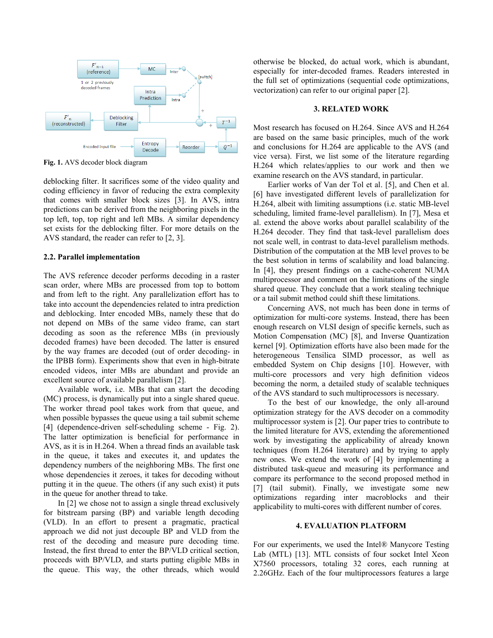

**Fig. 1.** AVS decoder block diagram

deblocking filter. It sacrifices some of the video quality and coding efficiency in favor of reducing the extra complexity that comes with smaller block sizes [3]. In AVS, intra predictions can be derived from the neighboring pixels in the top left, top, top right and left MBs. A similar dependency set exists for the deblocking filter. For more details on the AVS standard, the reader can refer to [2, 3].

### **2.2. Parallel implementation**

The AVS reference decoder performs decoding in a raster scan order, where MBs are processed from top to bottom and from left to the right. Any parallelization effort has to take into account the dependencies related to intra prediction and deblocking. Inter encoded MBs, namely these that do not depend on MBs of the same video frame, can start decoding as soon as the reference MBs (in previously decoded frames) have been decoded. The latter is ensured by the way frames are decoded (out of order decoding- in the IPBB form). Experiments show that even in high-bitrate encoded videos, inter MBs are abundant and provide an excellent source of available parallelism [2].

Available work, i.e. MBs that can start the decoding (MC) process, is dynamically put into a single shared queue. The worker thread pool takes work from that queue, and when possible bypasses the queue using a tail submit scheme [4] (dependence-driven self-scheduling scheme - Fig. 2). The latter optimization is beneficial for performance in AVS, as it is in H.264. When a thread finds an available task in the queue, it takes and executes it, and updates the dependency numbers of the neighboring MBs. The first one whose dependencies it zeroes, it takes for decoding without putting it in the queue. The others (if any such exist) it puts in the queue for another thread to take.

In [2] we chose not to assign a single thread exclusively for bitstream parsing (BP) and variable length decoding (VLD). In an effort to present a pragmatic, practical approach we did not just decouple BP and VLD from the rest of the decoding and measure pure decoding time. Instead, the first thread to enter the BP/VLD critical section, proceeds with BP/VLD, and starts putting eligible MBs in the queue. This way, the other threads, which would otherwise be blocked, do actual work, which is abundant, especially for inter-decoded frames. Readers interested in the full set of optimizations (sequential code optimizations, vectorization) can refer to our original paper [2].

### **3. RELATED WORK**

Most research has focused on H.264. Since AVS and H.264 are based on the same basic principles, much of the work and conclusions for H.264 are applicable to the AVS (and vice versa). First, we list some of the literature regarding H.264 which relates/applies to our work and then we examine research on the AVS standard, in particular.

Earlier works of Van der Tol et al. [5], and Chen et al. [6] have investigated different levels of parallelization for H.264, albeit with limiting assumptions (i.e. static MB-level scheduling, limited frame-level parallelism). In [7], Mesa et al. extend the above works about parallel scalability of the H.264 decoder. They find that task-level parallelism does not scale well, in contrast to data-level parallelism methods. Distribution of the computation at the MB level proves to be the best solution in terms of scalability and load balancing. In [4], they present findings on a cache-coherent NUMA multiprocessor and comment on the limitations of the single shared queue. They conclude that a work stealing technique or a tail submit method could shift these limitations.

Concerning AVS, not much has been done in terms of optimization for multi-core systems. Instead, there has been enough research on VLSI design of specific kernels, such as Motion Compensation (MC) [8], and Inverse Quantization kernel [9]. Optimization efforts have also been made for the heterogeneous Tensilica SIMD processor, as well as embedded System on Chip designs [10]. However, with multi-core processors and very high definition videos becoming the norm, a detailed study of scalable techniques of the AVS standard to such multiprocessors is necessary.

To the best of our knowledge, the only all-around optimization strategy for the AVS decoder on a commodity multiprocessor system is [2]. Our paper tries to contribute to the limited literature for AVS, extending the aforementioned work by investigating the applicability of already known techniques (from H.264 literature) and by trying to apply new ones. We extend the work of [4] by implementing a distributed task-queue and measuring its performance and compare its performance to the second proposed method in [7] (tail submit). Finally, we investigate some new optimizations regarding inter macroblocks and their applicability to multi-cores with different number of cores.

### **4. EVALUATION PLATFORM**

For our experiments, we used the Intel® Manycore Testing Lab (MTL) [13]. MTL consists of four socket Intel Xeon X7560 processors, totaling 32 cores, each running at 2.26GHz. Each of the four multiprocessors features a large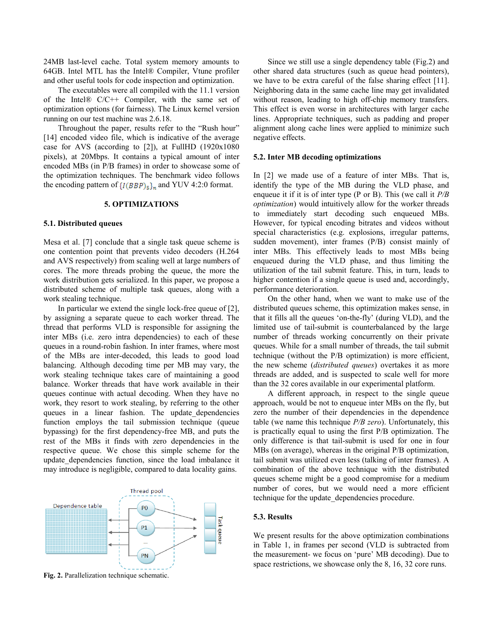24MB last-level cache. Total system memory amounts to 64GB. Intel MTL has the Intel® Compiler, Vtune profiler and other useful tools for code inspection and optimization.

The executables were all compiled with the 11.1 version of the Intel®  $C/C++$  Compiler, with the same set of optimization options (for fairness). The Linux kernel version running on our test machine was 2.6.18.

Throughout the paper, results refer to the "Rush hour" [14] encoded video file, which is indicative of the average case for AVS (according to [2]), at FullHD (1920x1080 pixels), at 20Mbps. It contains a typical amount of inter encoded MBs (in P/B frames) in order to showcase some of the optimization techniques. The benchmark video follows the encoding pattern of  $\{I(BBP)_{5}\}_n$  and YUV 4:2:0 format.

### **5. OPTIMIZATIONS**

### **5.1. Distributed queues**

Mesa et al. [7] conclude that a single task queue scheme is one contention point that prevents video decoders (H.264 and AVS respectively) from scaling well at large numbers of cores. The more threads probing the queue, the more the work distribution gets serialized. In this paper, we propose a distributed scheme of multiple task queues, along with a work stealing technique.

In particular we extend the single lock-free queue of [2], by assigning a separate queue to each worker thread. The thread that performs VLD is responsible for assigning the inter MBs (i.e. zero intra dependencies) to each of these queues in a round-robin fashion. In inter frames, where most of the MBs are inter-decoded, this leads to good load balancing. Although decoding time per MB may vary, the work stealing technique takes care of maintaining a good balance. Worker threads that have work available in their queues continue with actual decoding. When they have no work, they resort to work stealing, by referring to the other queues in a linear fashion. The update dependencies function employs the tail submission technique (queue bypassing) for the first dependency-free MB, and puts the rest of the MBs it finds with zero dependencies in the respective queue. We chose this simple scheme for the update\_dependencies function, since the load imbalance it may introduce is negligible, compared to data locality gains.



**Fig. 2.** Parallelization technique schematic.

Since we still use a single dependency table (Fig.2) and other shared data structures (such as queue head pointers), we have to be extra careful of the false sharing effect [11]. Neighboring data in the same cache line may get invalidated without reason, leading to high off-chip memory transfers. This effect is even worse in architectures with larger cache lines. Appropriate techniques, such as padding and proper alignment along cache lines were applied to minimize such negative effects.

#### **5.2. Inter MB decoding optimizations**

In [2] we made use of a feature of inter MBs. That is, identify the type of the MB during the VLD phase, and enqueue it if it is of inter type (P or B). This (we call it *P/B optimization*) would intuitively allow for the worker threads to immediately start decoding such enqueued MBs. However, for typical encoding bitrates and videos without special characteristics (e.g. explosions, irregular patterns, sudden movement), inter frames (P/B) consist mainly of inter MBs. This effectively leads to most MBs being enqueued during the VLD phase, and thus limiting the utilization of the tail submit feature. This, in turn, leads to higher contention if a single queue is used and, accordingly, performance deterioration.

On the other hand, when we want to make use of the distributed queues scheme, this optimization makes sense, in that it fills all the queues "on-the-fly" (during VLD), and the limited use of tail-submit is counterbalanced by the large number of threads working concurrently on their private queues. While for a small number of threads, the tail submit technique (without the P/B optimization) is more efficient, the new scheme (*distributed queues*) overtakes it as more threads are added, and is suspected to scale well for more than the 32 cores available in our experimental platform.

A different approach, in respect to the single queue approach, would be not to enqueue inter MBs on the fly, but zero the number of their dependencies in the dependence table (we name this technique *P/B zero*). Unfortunately, this is practically equal to using the first P/B optimization. The only difference is that tail-submit is used for one in four MBs (on average), whereas in the original P/B optimization, tail submit was utilized even less (talking of inter frames). A combination of the above technique with the distributed queues scheme might be a good compromise for a medium number of cores, but we would need a more efficient technique for the update\_dependencies procedure.

#### **5.3. Results**

We present results for the above optimization combinations in Table 1, in frames per second (VLD is subtracted from the measurement- we focus on "pure" MB decoding). Due to space restrictions, we showcase only the 8, 16, 32 core runs.